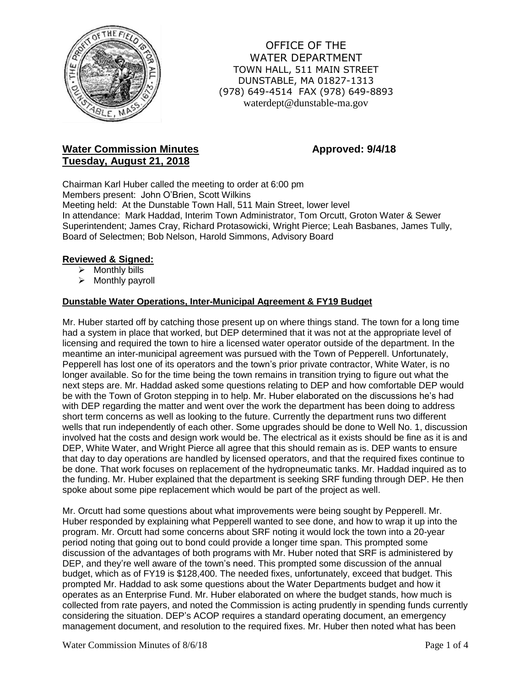

OFFICE OF THE WATER DEPARTMENT TOWN HALL, 511 MAIN STREET DUNSTABLE, MA 01827-1313 (978) 649-4514 FAX (978) 649-8893 waterdept@dunstable-ma.gov

# **Water Commission Minutes <b>Approved:** 9/4/18 **Tuesday, August 21, 2018**

Chairman Karl Huber called the meeting to order at 6:00 pm Members present: John O'Brien, Scott Wilkins Meeting held: At the Dunstable Town Hall, 511 Main Street, lower level In attendance: Mark Haddad, Interim Town Administrator, Tom Orcutt, Groton Water & Sewer Superintendent; James Cray, Richard Protasowicki, Wright Pierce; Leah Basbanes, James Tully, Board of Selectmen; Bob Nelson, Harold Simmons, Advisory Board

# **Reviewed & Signed:**

- $\triangleright$  Monthly bills
- $\triangleright$  Monthly payroll

## **Dunstable Water Operations, Inter-Municipal Agreement & FY19 Budget**

Mr. Huber started off by catching those present up on where things stand. The town for a long time had a system in place that worked, but DEP determined that it was not at the appropriate level of licensing and required the town to hire a licensed water operator outside of the department. In the meantime an inter-municipal agreement was pursued with the Town of Pepperell. Unfortunately, Pepperell has lost one of its operators and the town's prior private contractor, White Water, is no longer available. So for the time being the town remains in transition trying to figure out what the next steps are. Mr. Haddad asked some questions relating to DEP and how comfortable DEP would be with the Town of Groton stepping in to help. Mr. Huber elaborated on the discussions he's had with DEP regarding the matter and went over the work the department has been doing to address short term concerns as well as looking to the future. Currently the department runs two different wells that run independently of each other. Some upgrades should be done to Well No. 1, discussion involved hat the costs and design work would be. The electrical as it exists should be fine as it is and DEP, White Water, and Wright Pierce all agree that this should remain as is. DEP wants to ensure that day to day operations are handled by licensed operators, and that the required fixes continue to be done. That work focuses on replacement of the hydropneumatic tanks. Mr. Haddad inquired as to the funding. Mr. Huber explained that the department is seeking SRF funding through DEP. He then spoke about some pipe replacement which would be part of the project as well.

Mr. Orcutt had some questions about what improvements were being sought by Pepperell. Mr. Huber responded by explaining what Pepperell wanted to see done, and how to wrap it up into the program. Mr. Orcutt had some concerns about SRF noting it would lock the town into a 20-year period noting that going out to bond could provide a longer time span. This prompted some discussion of the advantages of both programs with Mr. Huber noted that SRF is administered by DEP, and they're well aware of the town's need. This prompted some discussion of the annual budget, which as of FY19 is \$128,400. The needed fixes, unfortunately, exceed that budget. This prompted Mr. Haddad to ask some questions about the Water Departments budget and how it operates as an Enterprise Fund. Mr. Huber elaborated on where the budget stands, how much is collected from rate payers, and noted the Commission is acting prudently in spending funds currently considering the situation. DEP's ACOP requires a standard operating document, an emergency management document, and resolution to the required fixes. Mr. Huber then noted what has been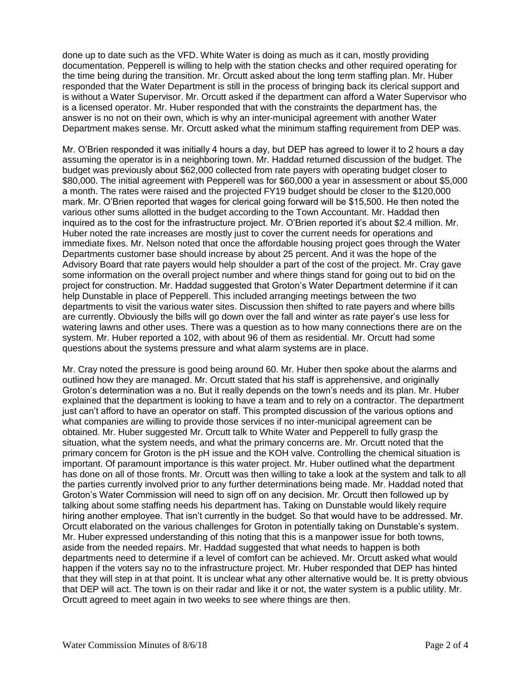done up to date such as the VFD. White Water is doing as much as it can, mostly providing documentation. Pepperell is willing to help with the station checks and other required operating for the time being during the transition. Mr. Orcutt asked about the long term staffing plan. Mr. Huber responded that the Water Department is still in the process of bringing back its clerical support and is without a Water Supervisor. Mr. Orcutt asked if the department can afford a Water Supervisor who is a licensed operator. Mr. Huber responded that with the constraints the department has, the answer is no not on their own, which is why an inter-municipal agreement with another Water Department makes sense. Mr. Orcutt asked what the minimum staffing requirement from DEP was.

Mr. O'Brien responded it was initially 4 hours a day, but DEP has agreed to lower it to 2 hours a day assuming the operator is in a neighboring town. Mr. Haddad returned discussion of the budget. The budget was previously about \$62,000 collected from rate payers with operating budget closer to \$80,000. The initial agreement with Pepperell was for \$60,000 a year in assessment or about \$5,000 a month. The rates were raised and the projected FY19 budget should be closer to the \$120,000 mark. Mr. O'Brien reported that wages for clerical going forward will be \$15,500. He then noted the various other sums allotted in the budget according to the Town Accountant. Mr. Haddad then inquired as to the cost for the infrastructure project. Mr. O'Brien reported it's about \$2.4 million. Mr. Huber noted the rate increases are mostly just to cover the current needs for operations and immediate fixes. Mr. Nelson noted that once the affordable housing project goes through the Water Departments customer base should increase by about 25 percent. And it was the hope of the Advisory Board that rate payers would help shoulder a part of the cost of the project. Mr. Cray gave some information on the overall project number and where things stand for going out to bid on the project for construction. Mr. Haddad suggested that Groton's Water Department determine if it can help Dunstable in place of Pepperell. This included arranging meetings between the two departments to visit the various water sites. Discussion then shifted to rate payers and where bills are currently. Obviously the bills will go down over the fall and winter as rate payer's use less for watering lawns and other uses. There was a question as to how many connections there are on the system. Mr. Huber reported a 102, with about 96 of them as residential. Mr. Orcutt had some questions about the systems pressure and what alarm systems are in place.

Mr. Cray noted the pressure is good being around 60. Mr. Huber then spoke about the alarms and outlined how they are managed. Mr. Orcutt stated that his staff is apprehensive, and originally Groton's determination was a no. But it really depends on the town's needs and its plan. Mr. Huber explained that the department is looking to have a team and to rely on a contractor. The department just can't afford to have an operator on staff. This prompted discussion of the various options and what companies are willing to provide those services if no inter-municipal agreement can be obtained. Mr. Huber suggested Mr. Orcutt talk to White Water and Pepperell to fully grasp the situation, what the system needs, and what the primary concerns are. Mr. Orcutt noted that the primary concern for Groton is the pH issue and the KOH valve. Controlling the chemical situation is important. Of paramount importance is this water project. Mr. Huber outlined what the department has done on all of those fronts. Mr. Orcutt was then willing to take a look at the system and talk to all the parties currently involved prior to any further determinations being made. Mr. Haddad noted that Groton's Water Commission will need to sign off on any decision. Mr. Orcutt then followed up by talking about some staffing needs his department has. Taking on Dunstable would likely require hiring another employee. That isn't currently in the budget. So that would have to be addressed. Mr. Orcutt elaborated on the various challenges for Groton in potentially taking on Dunstable's system. Mr. Huber expressed understanding of this noting that this is a manpower issue for both towns, aside from the needed repairs. Mr. Haddad suggested that what needs to happen is both departments need to determine if a level of comfort can be achieved. Mr. Orcutt asked what would happen if the voters say no to the infrastructure project. Mr. Huber responded that DEP has hinted that they will step in at that point. It is unclear what any other alternative would be. It is pretty obvious that DEP will act. The town is on their radar and like it or not, the water system is a public utility. Mr. Orcutt agreed to meet again in two weeks to see where things are then.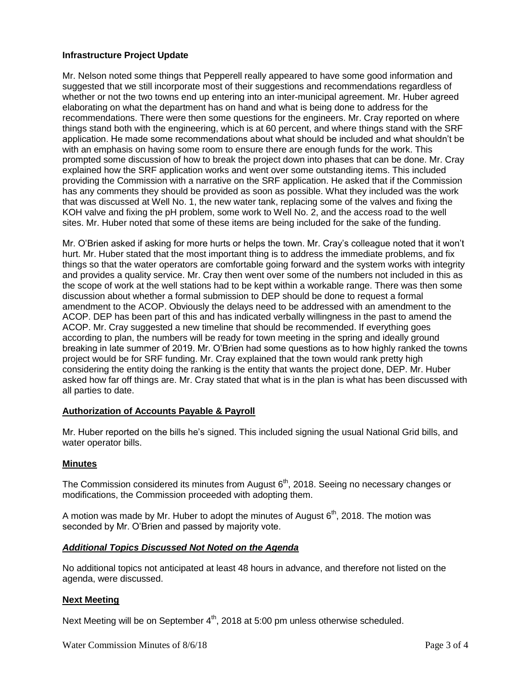### **Infrastructure Project Update**

Mr. Nelson noted some things that Pepperell really appeared to have some good information and suggested that we still incorporate most of their suggestions and recommendations regardless of whether or not the two towns end up entering into an inter-municipal agreement. Mr. Huber agreed elaborating on what the department has on hand and what is being done to address for the recommendations. There were then some questions for the engineers. Mr. Cray reported on where things stand both with the engineering, which is at 60 percent, and where things stand with the SRF application. He made some recommendations about what should be included and what shouldn't be with an emphasis on having some room to ensure there are enough funds for the work. This prompted some discussion of how to break the project down into phases that can be done. Mr. Cray explained how the SRF application works and went over some outstanding items. This included providing the Commission with a narrative on the SRF application. He asked that if the Commission has any comments they should be provided as soon as possible. What they included was the work that was discussed at Well No. 1, the new water tank, replacing some of the valves and fixing the KOH valve and fixing the pH problem, some work to Well No. 2, and the access road to the well sites. Mr. Huber noted that some of these items are being included for the sake of the funding.

Mr. O'Brien asked if asking for more hurts or helps the town. Mr. Cray's colleague noted that it won't hurt. Mr. Huber stated that the most important thing is to address the immediate problems, and fix things so that the water operators are comfortable going forward and the system works with integrity and provides a quality service. Mr. Cray then went over some of the numbers not included in this as the scope of work at the well stations had to be kept within a workable range. There was then some discussion about whether a formal submission to DEP should be done to request a formal amendment to the ACOP. Obviously the delays need to be addressed with an amendment to the ACOP. DEP has been part of this and has indicated verbally willingness in the past to amend the ACOP. Mr. Cray suggested a new timeline that should be recommended. If everything goes according to plan, the numbers will be ready for town meeting in the spring and ideally ground breaking in late summer of 2019. Mr. O'Brien had some questions as to how highly ranked the towns project would be for SRF funding. Mr. Cray explained that the town would rank pretty high considering the entity doing the ranking is the entity that wants the project done, DEP. Mr. Huber asked how far off things are. Mr. Cray stated that what is in the plan is what has been discussed with all parties to date.

### **Authorization of Accounts Payable & Payroll**

Mr. Huber reported on the bills he's signed. This included signing the usual National Grid bills, and water operator bills.

### **Minutes**

The Commission considered its minutes from August  $6<sup>th</sup>$ , 2018. Seeing no necessary changes or modifications, the Commission proceeded with adopting them.

A motion was made by Mr. Huber to adopt the minutes of August  $6<sup>th</sup>$ , 2018. The motion was seconded by Mr. O'Brien and passed by majority vote.

#### *Additional Topics Discussed Not Noted on the Agenda*

No additional topics not anticipated at least 48 hours in advance, and therefore not listed on the agenda, were discussed.

#### **Next Meeting**

Next Meeting will be on September  $4<sup>th</sup>$ , 2018 at 5:00 pm unless otherwise scheduled.